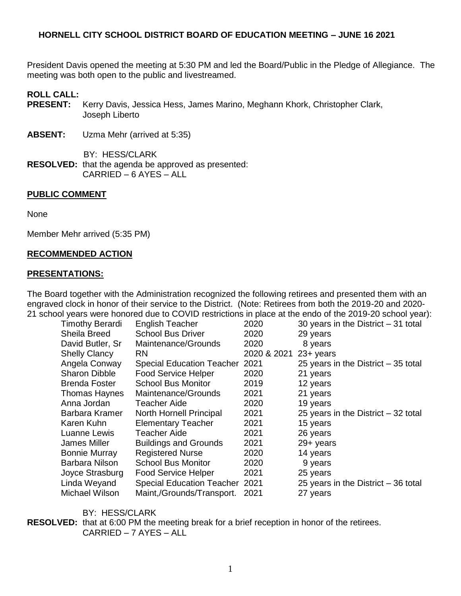President Davis opened the meeting at 5:30 PM and led the Board/Public in the Pledge of Allegiance. The meeting was both open to the public and livestreamed.

#### **ROLL CALL:**

- **PRESENT:** Kerry Davis, Jessica Hess, James Marino, Meghann Khork, Christopher Clark, Joseph Liberto
- **ABSENT:** Uzma Mehr (arrived at 5:35)
- BY: HESS/CLARK **RESOLVED:** that the agenda be approved as presented: CARRIED – 6 AYES – ALL

#### **PUBLIC COMMENT**

None

Member Mehr arrived (5:35 PM)

#### **RECOMMENDED ACTION**

#### **PRESENTATIONS:**

The Board together with the Administration recognized the following retirees and presented them with an engraved clock in honor of their service to the District. (Note: Retirees from both the 2019-20 and 2020- 21 school years were honored due to COVID restrictions in place at the endo of the 2019-20 school year):

| <b>Timothy Berardi</b> | <b>English Teacher</b>                | 2020        | 30 years in the District $-31$ total |
|------------------------|---------------------------------------|-------------|--------------------------------------|
| Sheila Breed           | <b>School Bus Driver</b>              | 2020        | 29 years                             |
| David Butler, Sr       | Maintenance/Grounds                   | 2020        | 8 years                              |
| <b>Shelly Clancy</b>   | <b>RN</b>                             | 2020 & 2021 | $23 +$ years                         |
| Angela Conway          | <b>Special Education Teacher</b>      | 2021        | 25 years in the District $-35$ total |
| <b>Sharon Dibble</b>   | <b>Food Service Helper</b>            | 2020        | 21 years                             |
| <b>Brenda Foster</b>   | <b>School Bus Monitor</b>             | 2019        | 12 years                             |
| Thomas Haynes          | Maintenance/Grounds                   | 2021        | 21 years                             |
| Anna Jordan            | Teacher Aide                          | 2020        | 19 years                             |
| Barbara Kramer         | North Hornell Principal               | 2021        | 25 years in the District $-32$ total |
| Karen Kuhn             | <b>Elementary Teacher</b>             | 2021        | 15 years                             |
| Luanne Lewis           | Teacher Aide                          | 2021        | 26 years                             |
| James Miller           | <b>Buildings and Grounds</b>          | 2021        | 29+ years                            |
| <b>Bonnie Murray</b>   | <b>Registered Nurse</b>               | 2020        | 14 years                             |
| Barbara Nilson         | <b>School Bus Monitor</b>             | 2020        | 9 years                              |
| Joyce Strasburg        | <b>Food Service Helper</b>            | 2021        | 25 years                             |
| Linda Weyand           | <b>Special Education Teacher 2021</b> |             | 25 years in the District $-36$ total |
| Michael Wilson         | Maint,/Grounds/Transport.             | 2021        | 27 years                             |
|                        |                                       |             |                                      |

BY: HESS/CLARK

**RESOLVED:** that at 6:00 PM the meeting break for a brief reception in honor of the retirees. CARRIED – 7 AYES – ALL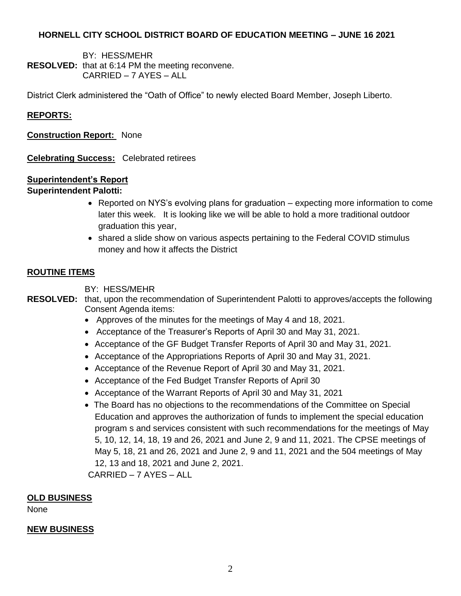BY: HESS/MEHR **RESOLVED:** that at 6:14 PM the meeting reconvene. CARRIED – 7 AYES – ALL

District Clerk administered the "Oath of Office" to newly elected Board Member, Joseph Liberto.

## **REPORTS:**

**Construction Report:** None

**Celebrating Success:** Celebrated retirees

## **Superintendent's Report**

## **Superintendent Palotti:**

- Reported on NYS's evolving plans for graduation expecting more information to come later this week. It is looking like we will be able to hold a more traditional outdoor graduation this year,
- shared a slide show on various aspects pertaining to the Federal COVID stimulus money and how it affects the District

## **ROUTINE ITEMS**

BY: HESS/MEHR

**RESOLVED:** that, upon the recommendation of Superintendent Palotti to approves/accepts the following Consent Agenda items:

- Approves of the minutes for the meetings of May 4 and 18, 2021.
- Acceptance of the Treasurer's Reports of April 30 and May 31, 2021.
- Acceptance of the GF Budget Transfer Reports of April 30 and May 31, 2021.
- Acceptance of the Appropriations Reports of April 30 and May 31, 2021.
- Acceptance of the Revenue Report of April 30 and May 31, 2021.
- Acceptance of the Fed Budget Transfer Reports of April 30
- Acceptance of the Warrant Reports of April 30 and May 31, 2021
- The Board has no objections to the recommendations of the Committee on Special Education and approves the authorization of funds to implement the special education program s and services consistent with such recommendations for the meetings of May 5, 10, 12, 14, 18, 19 and 26, 2021 and June 2, 9 and 11, 2021. The CPSE meetings of May 5, 18, 21 and 26, 2021 and June 2, 9 and 11, 2021 and the 504 meetings of May 12, 13 and 18, 2021 and June 2, 2021.

CARRIED – 7 AYES – ALL

## **OLD BUSINESS**

None

#### **NEW BUSINESS**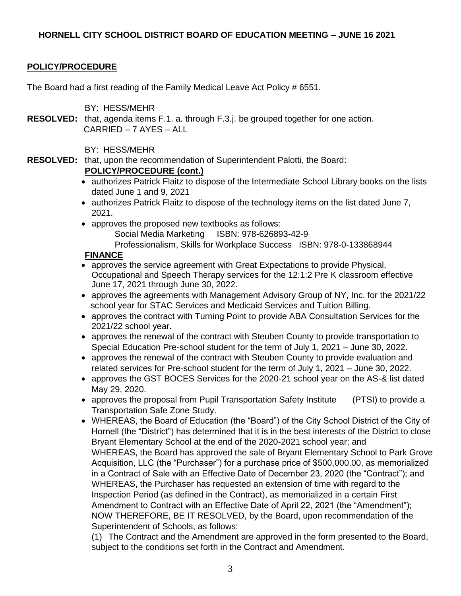# **POLICY/PROCEDURE**

The Board had a first reading of the Family Medical Leave Act Policy # 6551.

BY: HESS/MEHR

**RESOLVED:** that, agenda items F.1. a. through F.3.j. be grouped together for one action. CARRIED – 7 AYES – ALL

BY: HESS/MEHR

**RESOLVED:** that, upon the recommendation of Superintendent Palotti, the Board:

## **POLICY/PROCEDURE (cont.)**

- authorizes Patrick Flaitz to dispose of the Intermediate School Library books on the lists dated June 1 and 9, 2021
- authorizes Patrick Flaitz to dispose of the technology items on the list dated June 7, 2021.
- approves the proposed new textbooks as follows:

Social Media Marketing ISBN: 978-626893-42-9

Professionalism, Skills for Workplace Success ISBN: 978-0-133868944

## **FINANCE**

- approves the service agreement with Great Expectations to provide Physical, Occupational and Speech Therapy services for the 12:1:2 Pre K classroom effective June 17, 2021 through June 30, 2022.
- approves the agreements with Management Advisory Group of NY, Inc. for the 2021/22 school year for STAC Services and Medicaid Services and Tuition Billing.
- approves the contract with Turning Point to provide ABA Consultation Services for the 2021/22 school year.
- approves the renewal of the contract with Steuben County to provide transportation to Special Education Pre-school student for the term of July 1, 2021 – June 30, 2022.
- approves the renewal of the contract with Steuben County to provide evaluation and related services for Pre-school student for the term of July 1, 2021 – June 30, 2022.
- approves the GST BOCES Services for the 2020-21 school year on the AS-& list dated May 29, 2020.
- approves the proposal from Pupil Transportation Safety Institute (PTSI) to provide a Transportation Safe Zone Study.
- WHEREAS, the Board of Education (the "Board") of the City School District of the City of Hornell (the "District") has determined that it is in the best interests of the District to close Bryant Elementary School at the end of the 2020-2021 school year; and WHEREAS, the Board has approved the sale of Bryant Elementary School to Park Grove Acquisition, LLC (the "Purchaser") for a purchase price of \$500,000.00, as memorialized in a Contract of Sale with an Effective Date of December 23, 2020 (the "Contract"); and WHEREAS, the Purchaser has requested an extension of time with regard to the Inspection Period (as defined in the Contract), as memorialized in a certain First Amendment to Contract with an Effective Date of April 22, 2021 (the "Amendment"); NOW THEREFORE, BE IT RESOLVED, by the Board, upon recommendation of the Superintendent of Schools, as follows:

(1) The Contract and the Amendment are approved in the form presented to the Board, subject to the conditions set forth in the Contract and Amendment.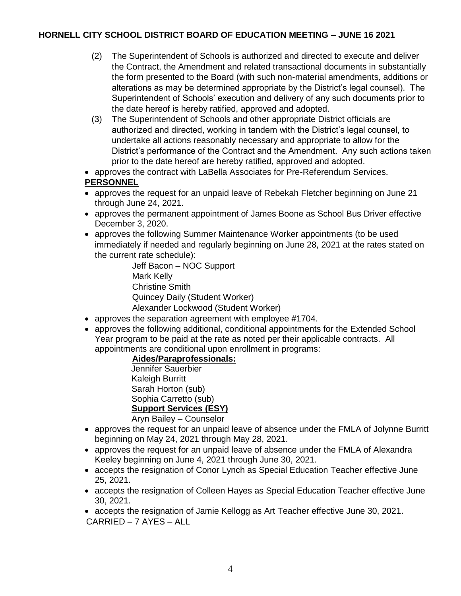- (2) The Superintendent of Schools is authorized and directed to execute and deliver the Contract, the Amendment and related transactional documents in substantially the form presented to the Board (with such non-material amendments, additions or alterations as may be determined appropriate by the District's legal counsel). The Superintendent of Schools' execution and delivery of any such documents prior to the date hereof is hereby ratified, approved and adopted.
- (3) The Superintendent of Schools and other appropriate District officials are authorized and directed, working in tandem with the District's legal counsel, to undertake all actions reasonably necessary and appropriate to allow for the District's performance of the Contract and the Amendment. Any such actions taken prior to the date hereof are hereby ratified, approved and adopted.
- approves the contract with LaBella Associates for Pre-Referendum Services.

# **PERSONNEL**

- approves the request for an unpaid leave of Rebekah Fletcher beginning on June 21 through June 24, 2021.
- approves the permanent appointment of James Boone as School Bus Driver effective December 3, 2020.
- approves the following Summer Maintenance Worker appointments (to be used immediately if needed and regularly beginning on June 28, 2021 at the rates stated on the current rate schedule):

Jeff Bacon – NOC Support Mark Kelly Christine Smith Quincey Daily (Student Worker) Alexander Lockwood (Student Worker)

- approves the separation agreement with employee #1704.
- approves the following additional, conditional appointments for the Extended School Year program to be paid at the rate as noted per their applicable contracts. All appointments are conditional upon enrollment in programs:

## **Aides/Paraprofessionals:**

Jennifer Sauerbier Kaleigh Burritt Sarah Horton (sub) Sophia Carretto (sub) **Support Services (ESY)** Aryn Bailey – Counselor

- approves the request for an unpaid leave of absence under the FMLA of Jolynne Burritt beginning on May 24, 2021 through May 28, 2021.
- approves the request for an unpaid leave of absence under the FMLA of Alexandra Keeley beginning on June 4, 2021 through June 30, 2021.
- accepts the resignation of Conor Lynch as Special Education Teacher effective June 25, 2021.
- accepts the resignation of Colleen Hayes as Special Education Teacher effective June 30, 2021.
- accepts the resignation of Jamie Kellogg as Art Teacher effective June 30, 2021. CARRIED – 7 AYES – ALL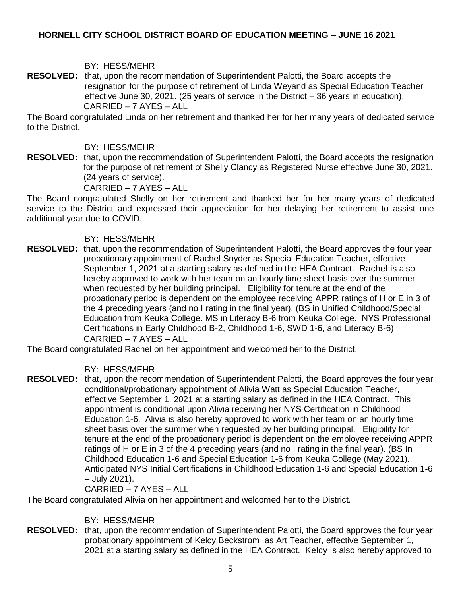## BY: HESS/MEHR

**RESOLVED:** that, upon the recommendation of Superintendent Palotti, the Board accepts the resignation for the purpose of retirement of Linda Weyand as Special Education Teacher effective June 30, 2021. (25 years of service in the District – 36 years in education). CARRIED – 7 AYES – ALL

The Board congratulated Linda on her retirement and thanked her for her many years of dedicated service to the District.

#### BY: HESS/MEHR

**RESOLVED:** that, upon the recommendation of Superintendent Palotti, the Board accepts the resignation for the purpose of retirement of Shelly Clancy as Registered Nurse effective June 30, 2021. (24 years of service).

CARRIED – 7 AYES – ALL

The Board congratulated Shelly on her retirement and thanked her for her many years of dedicated service to the District and expressed their appreciation for her delaying her retirement to assist one additional year due to COVID.

## BY: HESS/MEHR

**RESOLVED:** that, upon the recommendation of Superintendent Palotti, the Board approves the four year probationary appointment of Rachel Snyder as Special Education Teacher, effective September 1, 2021 at a starting salary as defined in the HEA Contract. Rachel is also hereby approved to work with her team on an hourly time sheet basis over the summer when requested by her building principal. Eligibility for tenure at the end of the probationary period is dependent on the employee receiving APPR ratings of H or E in 3 of the 4 preceding years (and no I rating in the final year). (BS in Unified Childhood/Special Education from Keuka College. MS in Literacy B-6 from Keuka College. NYS Professional Certifications in Early Childhood B-2, Childhood 1-6, SWD 1-6, and Literacy B-6) CARRIED – 7 AYES – ALL

The Board congratulated Rachel on her appointment and welcomed her to the District.

## BY: HESS/MEHR

**RESOLVED:** that, upon the recommendation of Superintendent Palotti, the Board approves the four year conditional/probationary appointment of Alivia Watt as Special Education Teacher, effective September 1, 2021 at a starting salary as defined in the HEA Contract. This appointment is conditional upon Alivia receiving her NYS Certification in Childhood Education 1-6. Alivia is also hereby approved to work with her team on an hourly time sheet basis over the summer when requested by her building principal. Eligibility for tenure at the end of the probationary period is dependent on the employee receiving APPR ratings of H or E in 3 of the 4 preceding years (and no I rating in the final year). (BS In Childhood Education 1-6 and Special Education 1-6 from Keuka College (May 2021). Anticipated NYS Initial Certifications in Childhood Education 1-6 and Special Education 1-6 – July 2021).

#### CARRIED – 7 AYES – ALL

The Board congratulated Alivia on her appointment and welcomed her to the District.

#### BY: HESS/MEHR

**RESOLVED:** that, upon the recommendation of Superintendent Palotti, the Board approves the four year probationary appointment of Kelcy Beckstrom as Art Teacher, effective September 1, 2021 at a starting salary as defined in the HEA Contract. Kelcy is also hereby approved to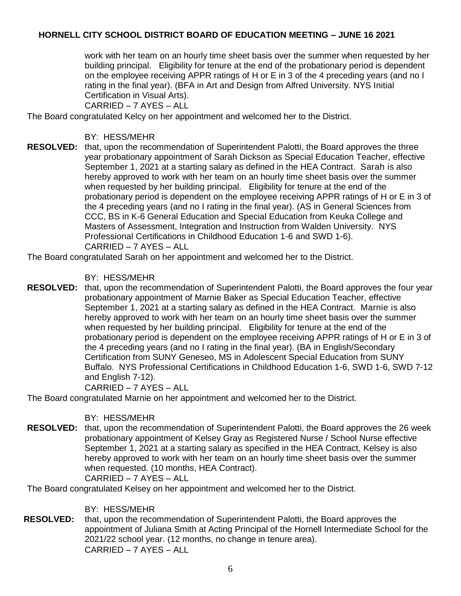work with her team on an hourly time sheet basis over the summer when requested by her building principal. Eligibility for tenure at the end of the probationary period is dependent on the employee receiving APPR ratings of H or E in 3 of the 4 preceding years (and no I rating in the final year). (BFA in Art and Design from Alfred University. NYS Initial Certification in Visual Arts).

CARRIED – 7 AYES – ALL

The Board congratulated Kelcy on her appointment and welcomed her to the District.

- BY: HESS/MEHR
- **RESOLVED:** that, upon the recommendation of Superintendent Palotti, the Board approves the three year probationary appointment of Sarah Dickson as Special Education Teacher, effective September 1, 2021 at a starting salary as defined in the HEA Contract. Sarah is also hereby approved to work with her team on an hourly time sheet basis over the summer when requested by her building principal. Eligibility for tenure at the end of the probationary period is dependent on the employee receiving APPR ratings of H or E in 3 of the 4 preceding years (and no I rating in the final year). (AS in General Sciences from CCC, BS in K-6 General Education and Special Education from Keuka College and Masters of Assessment, Integration and Instruction from Walden University. NYS Professional Certifications in Childhood Education 1-6 and SWD 1-6). CARRIED – 7 AYES – ALL

The Board congratulated Sarah on her appointment and welcomed her to the District.

BY: HESS/MEHR

**RESOLVED:** that, upon the recommendation of Superintendent Palotti, the Board approves the four year probationary appointment of Marnie Baker as Special Education Teacher, effective September 1, 2021 at a starting salary as defined in the HEA Contract. Marnie is also hereby approved to work with her team on an hourly time sheet basis over the summer when requested by her building principal. Eligibility for tenure at the end of the probationary period is dependent on the employee receiving APPR ratings of H or E in 3 of the 4 preceding years (and no I rating in the final year). (BA in English/Secondary Certification from SUNY Geneseo, MS in Adolescent Special Education from SUNY Buffalo. NYS Professional Certifications in Childhood Education 1-6, SWD 1-6, SWD 7-12 and English 7-12).

CARRIED – 7 AYES – ALL

The Board congratulated Marnie on her appointment and welcomed her to the District.

BY: HESS/MEHR

**RESOLVED:** that, upon the recommendation of Superintendent Palotti, the Board approves the 26 week probationary appointment of Kelsey Gray as Registered Nurse / School Nurse effective September 1, 2021 at a starting salary as specified in the HEA Contract, Kelsey is also hereby approved to work with her team on an hourly time sheet basis over the summer when requested. (10 months, HEA Contract). CARRIED – 7 AYES – ALL

The Board congratulated Kelsey on her appointment and welcomed her to the District.

BY: HESS/MEHR

**RESOLVED:** that, upon the recommendation of Superintendent Palotti, the Board approves the appointment of Juliana Smith at Acting Principal of the Hornell Intermediate School for the 2021/22 school year. (12 months, no change in tenure area). CARRIED – 7 AYES – ALL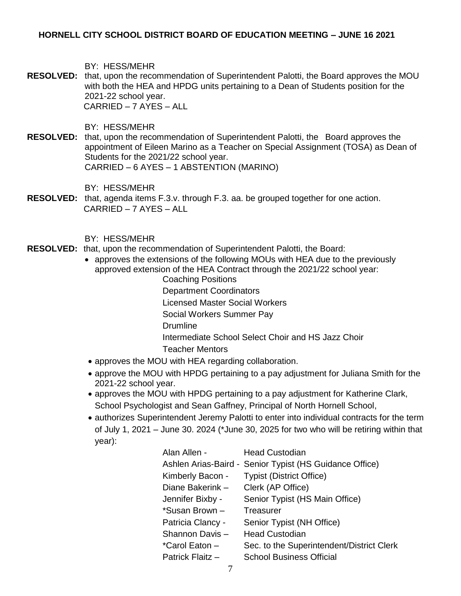BY: HESS/MEHR

**RESOLVED:** that, upon the recommendation of Superintendent Palotti, the Board approves the MOU with both the HEA and HPDG units pertaining to a Dean of Students position for the 2021-22 school year. CARRIED – 7 AYES – ALL

BY: HESS/MEHR

**RESOLVED:** that, upon the recommendation of Superintendent Palotti, the Board approves the appointment of Eileen Marino as a Teacher on Special Assignment (TOSA) as Dean of Students for the 2021/22 school year. CARRIED – 6 AYES – 1 ABSTENTION (MARINO)

BY: HESS/MEHR

**RESOLVED:** that, agenda items F.3.v. through F.3. aa. be grouped together for one action. CARRIED – 7 AYES – ALL

BY: HESS/MEHR

- **RESOLVED:** that, upon the recommendation of Superintendent Palotti, the Board:
	- approves the extensions of the following MOUs with HEA due to the previously approved extension of the HEA Contract through the 2021/22 school year:
		- Coaching Positions Department Coordinators Licensed Master Social Workers
		- Social Workers Summer Pay Drumline Intermediate School Select Choir and HS Jazz Choir
		- Teacher Mentors
	- approves the MOU with HEA regarding collaboration.
	- approve the MOU with HPDG pertaining to a pay adjustment for Juliana Smith for the 2021-22 school year.
	- approves the MOU with HPDG pertaining to a pay adjustment for Katherine Clark, School Psychologist and Sean Gaffney, Principal of North Hornell School,
	- authorizes Superintendent Jeremy Palotti to enter into individual contracts for the term of July 1, 2021 – June 30. 2024 (\*June 30, 2025 for two who will be retiring within that year):

| <b>Head Custodian</b>                                   |
|---------------------------------------------------------|
| Ashlen Arias-Baird - Senior Typist (HS Guidance Office) |
| <b>Typist (District Office)</b>                         |
| Clerk (AP Office)                                       |
| Senior Typist (HS Main Office)                          |
| Treasurer                                               |
| Senior Typist (NH Office)                               |
| <b>Head Custodian</b>                                   |
| Sec. to the Superintendent/District Clerk               |
| <b>School Business Official</b>                         |
|                                                         |